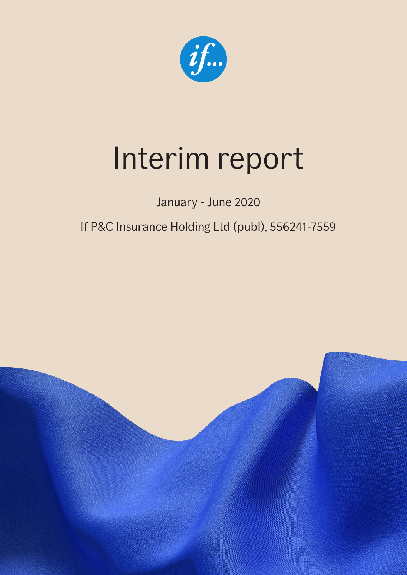

# Interim report

January - June 2020

If P&C Insurance Holding Ltd (publ), 556241-7559

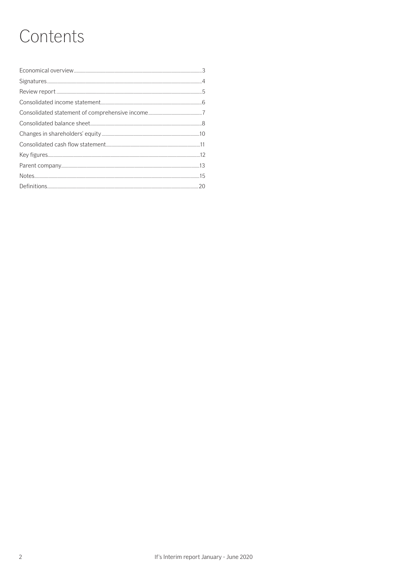# Contents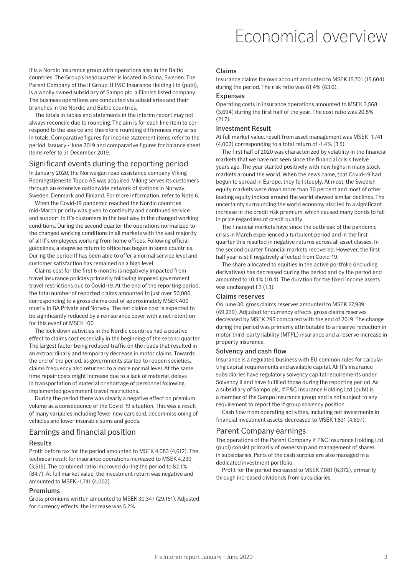### Economical overview

If is a Nordic insurance group with operations also in the Baltic countries. The Group's headquarter is located in Solna, Sweden. The Parent Company of the If Group, If P&C Insurance Holding Ltd (publ), is a wholly owned subsidiary of Sampo plc, a Finnish listed company. The business operations are conducted via subsidiaries and their branches in the Nordic and Baltic countries.

The totals in tables and statements in the interim report may not always reconcile due to rounding. The aim is for each line item to correspond to the source and therefore rounding differences may arise in totals. Comparative figures for income statement items refer to the period January - June 2019 and comparative figures for balance sheet items refer to 31 December 2019.

#### Significant events during the reporting period

In January 2020, the Norweigan road assistance company Viking Redningstjeneste Topco AS was acquired. Viking serves its customers through an extensive nationwide network of stations in Norway, Sweden, Denmark and Finland. For more information, refer to Note 6.

When the Covid-19 pandemic reached the Nordic countries mid-March priority was given to continuity and continued service and support to If's customers in the best way in the changed working conditions. During the second quarter the operations normalized to the changed working conditions in all markets with the vast majority of all If's employees working from home offices. Following official guidelines, a stepwise return to office has begun in some countries. During the period If has been able to offer a normal service level and customer satisfaction has remained on a high level.

Claims cost for the first 6 months is negatively impacted from travel insurance policies primarily following imposed government travel restrictions due to Covid-19. At the end of the reporting period, the total number of reported claims amounted to just over 50,000, corresponding to a gross claims cost of approximately MSEK 400 mostly in BA Private and Norway. The net claims cost is expected to be significantly reduced by a reinsurance cover with a net retention for this event of MSEK 100.

The lock down activities in the Nordic countries had a positive effect to claims cost especially in the beginning of the second quarter. The largest factor being reduced traffic on the roads that resulted in an extraordinary and temporary decrease in motor claims. Towards the end of the period, as governments started to reopen societies, claims frequency also returned to a more normal level. At the same time repair costs might increase due to a lack of material, delays in transportation of material or shortage of personnel following implemented government travel restrictions.

During the period there was clearly a negative effect on premium volume as a consequence of the Covid-19 situation. This was a result of many variables including fewer new cars sold, decommissioning of vehicles and lower insurable sums and goods.

#### Earnings and financial position

#### Results

Profit before tax for the period amounted to MSEK 4,083 (4,612). The technical result for insurance operations increased to MSEK 4,239 (3,515). The combined ratio improved during the period to 82.1% (84.7). At full market value, the investment return was negative and amounted to MSEK -1,741 (4,002).

#### Premiums

Gross premiums written amounted to MSEK 30,347 (29,151). Adjusted for currency effects, the increase was 5.2%.

#### Claims

Insurance claims for own account amounted to MSEK 15,701 (15,604) during the period. The risk ratio was 61.4% (63.0).

#### Expenses

Operating costs in insurance operations amounted to MSEK 3,568 (3,694) during the first half of the year. The cost ratio was 20.8%  $(21.7)$ 

#### Investment Result

At full market value, result from asset management was MSEK -1,741 (4,002) corresponding to a total return of -1.4% (3.5).

The first half of 2020 was characterized by volatility in the financial markets that we have not seen since the financial crisis twelve years ago. The year started positively with new highs in many stock markets around the world. When the news came, that Covid-19 had begun to spread in Europe, they fell steeply. At most, the Swedish equity markets were down more than 30 percent and most of other leading equity indices around the world showed similar declines. The uncertainty surrounding the world economy also led to a significant increase in the credit risk premium, which caused many bonds to fall in price regardless of credit quality.

The financial markets have since the outbreak of the pandemic crisis in March experienced a turbulent period and in the first quarter this resulted in negative returns across all asset classes. In the second quarter financial markets recovered. However, the first half year is still negatively affected from Covid-19.

The share allocated to equities in the active portfolio (including derivatives) has decreased during the period and by the period end amounted to 10.4% (10.4). The duration for the fixed income assets was unchanged 1.3 (1.3).

#### Claims reserves

On June 30, gross claims reserves amounted to MSEK 67,939 (69,239). Adjusted for currency effects, gross claims reserves decreased by MSEK 295 compared with the end of 2019. The change during the period was primarily attributable to a reserve reduction in motor third-party liability (MTPL) insurance and a reserve increase in property insurance.

#### Solvency and cash flow

Insurance is a regulated business with EU common rules for calculating capital requirements and available capital. All If's insurance subsidiaries have regulatory solvency capital requirements under Solvency II and have fulfilled those during the reporting period. As a subsidiary of Sampo plc, If P&C Insurance Holding Ltd (publ) is a member of the Sampo insurance group and is not subject to any requirement to report the If group solvency position.

Cash flow from operating activities, including net investments in financial investment assets, decreased to MSEK 1,831 (4,697).

#### Parent Company earnings

The operations of the Parent Company If P&C Insurance Holding Ltd (publ) consist primarily of ownership and management of shares in subsidiaries. Parts of the cash surplus are also managed in a dedicated investment portfolio.

Profit for the period increased to MSEK 7,081 (6,372), primarily through increased dividends from subsidiaries.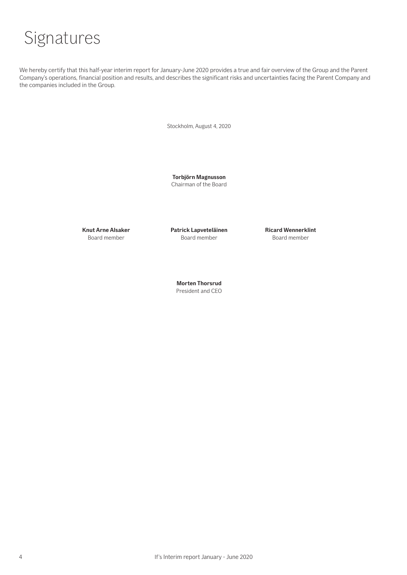

We hereby certify that this half-year interim report for January-June 2020 provides a true and fair overview of the Group and the Parent Company's operations, financial position and results, and describes the significant risks and uncertainties facing the Parent Company and the companies included in the Group.

Stockholm, August 4, 2020

**Torbjörn Magnusson** Chairman of the Board

**Knut Arne Alsaker Patrick Lapveteläinen Ricard Wennerklint** Board member Board member Board member

**Morten Thorsrud** President and CEO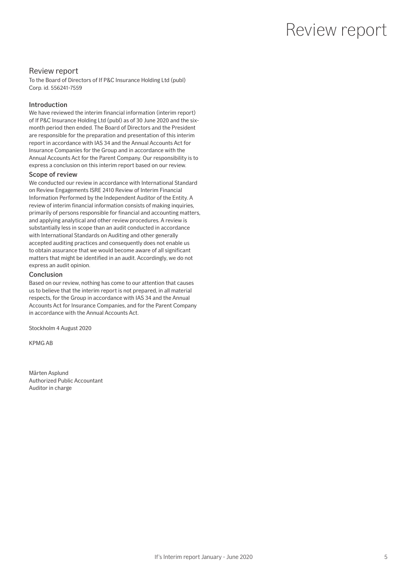### Review report

#### Review report

To the Board of Directors of If P&C Insurance Holding Ltd (publ) Corp. id. 556241-7559

#### Introduction

We have reviewed the interim financial information (interim report) of If P&C Insurance Holding Ltd (publ) as of 30 June 2020 and the sixmonth period then ended. The Board of Directors and the President are responsible for the preparation and presentation of this interim report in accordance with IAS 34 and the Annual Accounts Act for Insurance Companies for the Group and in accordance with the Annual Accounts Act for the Parent Company. Our responsibility is to express a conclusion on this interim report based on our review.

#### Scope of review

We conducted our review in accordance with International Standard on Review Engagements ISRE 2410 Review of Interim Financial Information Performed by the Independent Auditor of the Entity. A review of interim financial information consists of making inquiries, primarily of persons responsible for financial and accounting matters, and applying analytical and other review procedures. A review is substantially less in scope than an audit conducted in accordance with International Standards on Auditing and other generally accepted auditing practices and consequently does not enable us to obtain assurance that we would become aware of all significant matters that might be identified in an audit. Accordingly, we do not express an audit opinion.

#### Conclusion

Based on our review, nothing has come to our attention that causes us to believe that the interim report is not prepared, in all material respects, for the Group in accordance with IAS 34 and the Annual Accounts Act for Insurance Companies, and for the Parent Company in accordance with the Annual Accounts Act.

Stockholm 4 August 2020

KPMG AB

Mårten Asplund Authorized Public Accountant Auditor in charge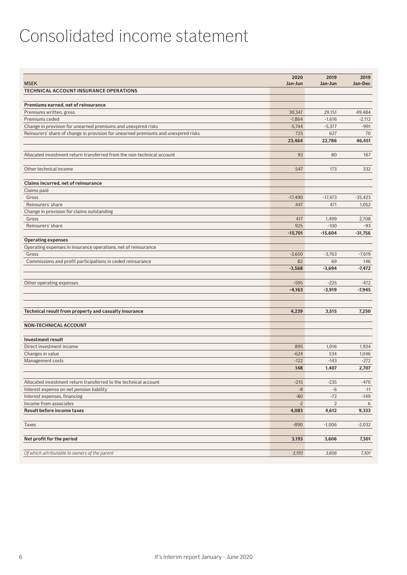### Consolidated income statement

|                                                                                    | 2020      | 2019           | 2019      |
|------------------------------------------------------------------------------------|-----------|----------------|-----------|
| <b>MSEK</b>                                                                        | Jan-Jun   | Jan-Jun        | Jan-Dec   |
| TECHNICAL ACCOUNT INSURANCE OPERATIONS                                             |           |                |           |
| Premiums earned, net of reinsurance                                                |           |                |           |
| Premiums written, gross                                                            | 30.347    | 29,151         | 49,484    |
| Premiums ceded                                                                     | $-1,864$  | $-1,616$       | $-2,112$  |
| Change in provision for unearned premiums and unexpired risks                      | $-5,744$  | $-5,377$       | $-991$    |
| Reinsurers' share of change in provision for unearned premiums and unexpired risks | 725       | 627            | 70        |
|                                                                                    | 23,464    | 22,786         | 46,451    |
|                                                                                    |           |                |           |
| Allocated investment return transferred from the non-technical account             | 93        | 80             | 167       |
| Other technical income                                                             | 547       | 173            | 332       |
| Claims incurred, net of reinsurance                                                |           |                |           |
| Claims paid                                                                        |           |                |           |
| Gross                                                                              | $-17,490$ | $-17,473$      | $-35,423$ |
| Reinsurers' share                                                                  | 447       | 471            | 1,052     |
| Change in provision for claims outstanding                                         |           |                |           |
| Gross                                                                              | 417       | 1,499          | 2,708     |
| Reinsurers' share                                                                  | 925       | $-100$         | $-93$     |
|                                                                                    | $-15,701$ | $-15,604$      | $-31,756$ |
| <b>Operating expenses</b>                                                          |           |                |           |
| Operating expenses in insurance operations, net of reinsurance                     |           |                |           |
| Gross                                                                              | $-3,650$  | $-3,763$       | $-7,619$  |
| Commissions and profit participations in ceded reinsurance                         | 82        | 69             | 146       |
|                                                                                    | $-3,568$  | $-3,694$       | $-7,472$  |
|                                                                                    | $-595$    | $-225$         | $-472$    |
| Other operating expenses                                                           |           | $-3,919$       | $-7,945$  |
|                                                                                    | $-4,163$  |                |           |
| Technical result from property and casualty insurance                              | 4,239     | 3,515          | 7,250     |
|                                                                                    |           |                |           |
| <b>NON-TECHNICAL ACCOUNT</b>                                                       |           |                |           |
| <b>Investment result</b>                                                           |           |                |           |
| Direct investment income                                                           | 895       | 1,016          | 1,934     |
| Changes in value                                                                   | $-624$    | 534            | 1,046     |
| Management costs                                                                   | $-122$    | $-143$         | $-272$    |
|                                                                                    | 148       | 1,407          | 2,707     |
| Allocated investment return transferred to the technical account                   | $-215$    | $-235$         | $-470$    |
| Interest expense on net pension liability                                          | -8        | $-6$           | $-11$     |
| Interest expenses, financing                                                       | $-80$     | $-72$          | $-149$    |
| Income from associates                                                             | $-2$      | $\overline{2}$ | 6         |
| <b>Result before income taxes</b>                                                  | 4,083     | 4,612          | 9,333     |
|                                                                                    |           |                |           |
| Taxes                                                                              | $-890$    | $-1,006$       | $-2,032$  |
| Net profit for the period                                                          | 3,193     | 3,606          | 7,301     |
|                                                                                    |           |                |           |
| Of which attributable to owners of the parent                                      | 3,193     | 3,606          | 7,301     |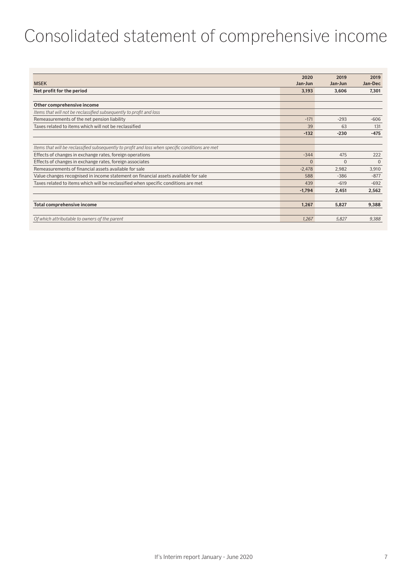### Consolidated statement of comprehensive income

|                                                                                                  | 2020     | 2019     | 2019     |
|--------------------------------------------------------------------------------------------------|----------|----------|----------|
| <b>MSEK</b>                                                                                      | Jan-Jun  | Jan-Jun  | Jan-Dec  |
| Net profit for the period                                                                        | 3,193    | 3,606    | 7,301    |
|                                                                                                  |          |          |          |
| Other comprehensive income                                                                       |          |          |          |
| Items that will not be reclassified subsequently to profit and loss                              |          |          |          |
| Remeasurements of the net pension liability                                                      | $-171$   | $-293$   | $-606$   |
| Taxes related to items which will not be reclassified                                            | 39       | 63       | 131      |
|                                                                                                  | $-132$   | $-230$   | $-475$   |
|                                                                                                  |          |          |          |
| Items that will be reclassified subsequently to profit and loss when specific conditions are met |          |          |          |
| Effects of changes in exchange rates, foreign operations                                         | $-344$   | 475      | 222      |
| Effects of changes in exchange rates, foreign associates                                         | $\Omega$ | $\Omega$ | $\Omega$ |
| Remeasurements of financial assets available for sale                                            | $-2,478$ | 2,982    | 3,910    |
| Value changes recognised in income statement on financial assets available for sale              | 588      | $-386$   | $-877$   |
| Taxes related to items which will be reclassified when specific conditions are met               | 439      | $-619$   | $-692$   |
|                                                                                                  | $-1,794$ | 2.451    | 2,562    |
|                                                                                                  |          |          |          |
| Total comprehensive income                                                                       | 1,267    | 5,827    | 9,388    |
|                                                                                                  |          |          |          |
| Of which attributable to owners of the parent                                                    | 1.267    | 5.827    | 9,388    |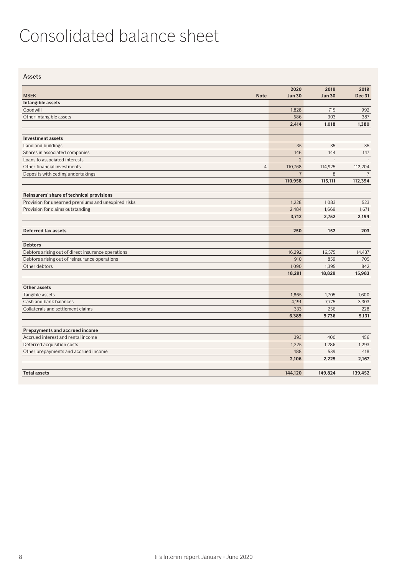### Consolidated balance sheet

Assets

|                                                     | 2020           | 2019          | 2019           |
|-----------------------------------------------------|----------------|---------------|----------------|
| <b>MSEK</b><br><b>Note</b>                          | <b>Jun 30</b>  | <b>Jun 30</b> | <b>Dec 31</b>  |
| Intangible assets                                   |                |               |                |
| Goodwill                                            | 1,828          | 715           | 992            |
| Other intangible assets                             | 586            | 303           | 387            |
|                                                     | 2,414          | 1,018         | 1,380          |
|                                                     |                |               |                |
| <b>Investment assets</b>                            |                |               |                |
| Land and buildings                                  | 35             | 35            | 35             |
| Shares in associated companies                      | 146            | 144           | 147            |
| Loans to associated interests                       | $\overline{2}$ |               |                |
| Other financial investments<br>$\overline{4}$       | 110,768        | 114,925       | 112,204        |
| Deposits with ceding undertakings                   | $\overline{7}$ | 8             | $\overline{7}$ |
|                                                     | 110,958        | 115,111       | 112,394        |
|                                                     |                |               |                |
| Reinsurers' share of technical provisions           |                |               |                |
| Provision for unearned premiums and unexpired risks | 1.228          | 1,083         | 523            |
| Provision for claims outstanding                    | 2,484          | 1,669         | 1,671          |
|                                                     | 3,712          | 2,752         | 2,194          |
|                                                     |                |               |                |
| <b>Deferred tax assets</b>                          | 250            | 152           | 203            |
| <b>Debtors</b>                                      |                |               |                |
| Debtors arising out of direct insurance operations  | 16,292         | 16.575        | 14,437         |
| Debtors arising out of reinsurance operations       | 910            | 859           | 705            |
| Other debtors                                       | 1,090          | 1,395         | 842            |
|                                                     | 18,291         | 18,829        | 15,983         |
|                                                     |                |               |                |
| Other assets                                        |                |               |                |
| Tangible assets                                     | 1.865          | 1.705         | 1.600          |
| Cash and bank balances                              | 4,191          | 7,775         | 3,303          |
| Collaterals and settlement claims                   | 333            | 256           | 228            |
|                                                     | 6,389          | 9,736         | 5,131          |
|                                                     |                |               |                |
| <b>Prepayments and accrued income</b>               |                |               |                |
| Accrued interest and rental income                  | 393            | 400           | 456            |
| Deferred acquisition costs                          | 1.225          | 1,286         | 1,293          |
| Other prepayments and accrued income                | 488            | 539           | 418            |
|                                                     | 2,106          | 2,225         | 2,167          |
| <b>Total assets</b>                                 | 144,120        | 149.824       | 139,452        |
|                                                     |                |               |                |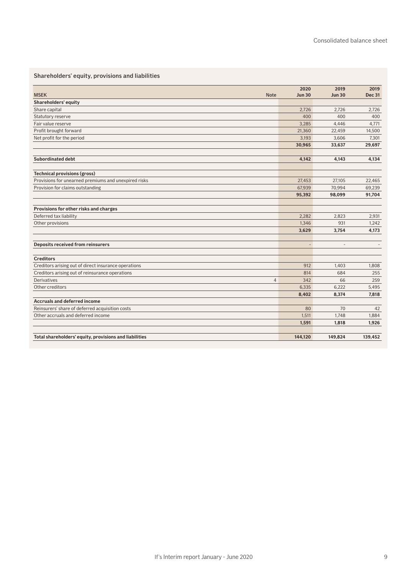### Shareholders' equity, provisions and liabilities

|                                                        | 2020           | 2019           | 2019          |
|--------------------------------------------------------|----------------|----------------|---------------|
| <b>MSEK</b><br><b>Note</b>                             | <b>Jun 30</b>  | <b>Jun 30</b>  | <b>Dec 31</b> |
| Shareholders' equity                                   |                |                |               |
| Share capital                                          | 2.726          | 2.726          | 2.726         |
| Statutory reserve                                      | 400            | 400            | 400           |
| Fair value reserve                                     | 3,285          | 4,446          | 4,771         |
| Profit brought forward                                 | 21,360         | 22,459         | 14,500        |
| Net profit for the period                              | 3,193          | 3,606          | 7,301         |
|                                                        | 30,965         | 33,637         | 29,697        |
| <b>Subordinated debt</b>                               | 4,142          | 4,143          | 4,134         |
| <b>Technical provisions (gross)</b>                    |                |                |               |
| Provisions for unearned premiums and unexpired risks   | 27,453         | 27,105         | 22,465        |
| Provision for claims outstanding                       | 67,939         | 70,994         | 69,239        |
|                                                        | 95,392         | 98,099         | 91,704        |
|                                                        |                |                |               |
| Provisions for other risks and charges                 |                |                |               |
| Deferred tax liability                                 | 2.282          | 2.823          | 2,931         |
| Other provisions                                       | 1.346          | 931            | 1,242         |
|                                                        | 3,629          | 3,754          | 4,173         |
| <b>Deposits received from reinsurers</b>               | $\overline{a}$ | $\overline{a}$ |               |
| <b>Creditors</b>                                       |                |                |               |
| Creditors arising out of direct insurance operations   | 912            | 1,403          | 1,808         |
| Creditors arising out of reinsurance operations        | 814            | 684            | 255           |
| <b>Derivatives</b><br>$\overline{4}$                   | 342            | 66             | 259           |
| Other creditors                                        | 6,335          | 6,222          | 5,495         |
|                                                        | 8,402          | 8.374          | 7,818         |
| <b>Accruals and deferred income</b>                    |                |                |               |
| Reinsurers' share of deferred acquisition costs        | 80             | 70             | 42            |
| Other accruals and deferred income                     | 1,511          | 1,748          | 1,884         |
|                                                        | 1,591          | 1,818          | 1,926         |
| Total shareholders' equity, provisions and liabilities | 144,120        | 149,824        | 139,452       |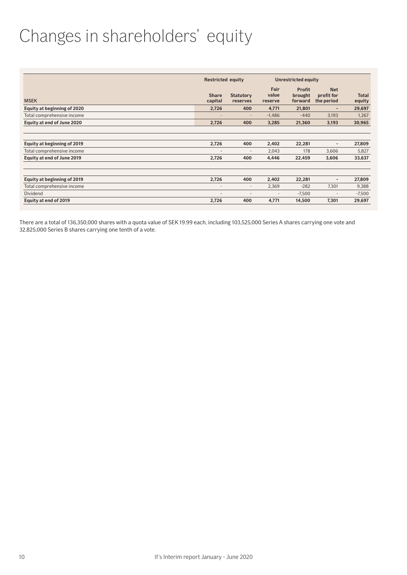### Changes in shareholders' equity

|                                                           | <b>Restricted equity</b>          |                                 |                          | Unrestricted equity                 |                                        |                        |
|-----------------------------------------------------------|-----------------------------------|---------------------------------|--------------------------|-------------------------------------|----------------------------------------|------------------------|
| <b>MSEK</b>                                               | <b>Share</b><br>capital           | <b>Statutory</b><br>reserves    | Fair<br>value<br>reserve | <b>Profit</b><br>brought<br>forward | <b>Net</b><br>profit for<br>the period | <b>Total</b><br>equity |
| Equity at beginning of 2020                               | 2,726                             | 400                             | 4,771                    | 21,801                              | ٠                                      | 29,697                 |
| Total comprehensive income                                |                                   |                                 | $-1,486$                 | $-440$                              | 3,193                                  | 1,267                  |
| Equity at end of June 2020                                | 2,726                             | 400                             | 3,285                    | 21,360                              | 3,193                                  | 30,965                 |
| Equity at beginning of 2019<br>Total comprehensive income | 2,726<br>$\overline{\phantom{a}}$ | 400<br>$\overline{\phantom{a}}$ | 2,402<br>2,043           | 22,281<br>178                       | $\overline{\phantom{a}}$<br>3,606      | 27,809<br>5,827        |
| Equity at end of June 2019                                | 2,726                             | 400                             | 4,446                    | 22,459                              | 3,606                                  | 33,637                 |
|                                                           |                                   |                                 |                          |                                     |                                        |                        |
| Equity at beginning of 2019                               | 2,726                             | 400                             | 2,402                    | 22,281                              | $\overline{\phantom{a}}$               | 27,809                 |
| Total comprehensive income                                | $\overline{\phantom{a}}$          | $\overline{\phantom{a}}$        | 2,369                    | $-282$                              | 7,301                                  | 9,388                  |
| <b>Dividend</b>                                           | $\overline{\phantom{a}}$          | $\overline{\phantom{a}}$        | $\overline{\phantom{a}}$ | $-7,500$                            | $\qquad \qquad$                        | $-7,500$               |
| Equity at end of 2019                                     | 2,726                             | 400                             | 4,771                    | 14,500                              | 7,301                                  | 29,697                 |

There are a total of 136,350,000 shares with a quota value of SEK 19.99 each, including 103,525,000 Series A shares carrying one vote and 32,825,000 Series B shares carrying one tenth of a vote.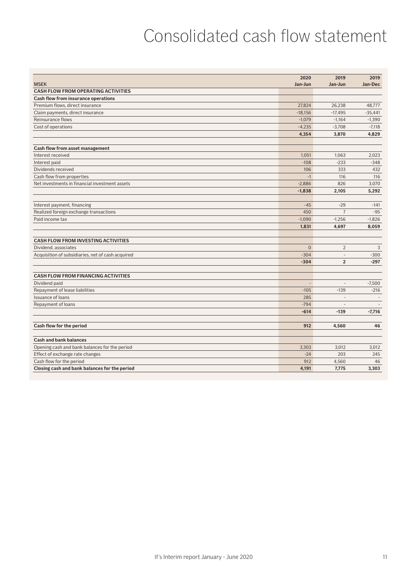### Consolidated cash flow statement

|                                                   | 2020                     | 2019                     | 2019      |
|---------------------------------------------------|--------------------------|--------------------------|-----------|
| <b>MSEK</b>                                       | Jan-Jun                  | Jan-Jun                  | Jan-Dec   |
| <b>CASH FLOW FROM OPERATING ACTIVITIES</b>        |                          |                          |           |
| Cash flow from insurance operations               |                          |                          |           |
| Premium flows, direct insurance                   | 27.824                   | 26.238                   | 48,777    |
| Claim payments, direct insurance                  | $-18.156$                | $-17,495$                | $-35,441$ |
| Reinsurance flows                                 | $-1,079$                 | $-1,164$                 | $-1,390$  |
| Cost of operations                                | $-4,235$                 | $-3,708$                 | $-7,118$  |
|                                                   | 4,354                    | 3,870                    | 4,829     |
|                                                   |                          |                          |           |
| Cash flow from asset management                   |                          |                          |           |
| Interest received                                 | 1,051                    | 1,063                    | 2,023     |
| Interest paid                                     | $-108$                   | $-233$                   | $-348$    |
| Dividends received                                | 106                      | 333                      | 432       |
| Cash flow from properties                         | $-1$                     | 116                      | 116       |
| Net investments in financial investment assets    | $-2,886$                 | 826                      | 3,070     |
|                                                   | $-1,838$                 | 2,105                    | 5,292     |
| Interest payment, financing                       | $-45$                    | $-29$                    | $-141$    |
| Realized foreign exchange transactions            | 450                      | $\overline{7}$           | $-95$     |
| Paid income tax                                   | $-1,090$                 | $-1,256$                 | $-1,826$  |
|                                                   | 1,831                    | 4,697                    | 8,059     |
| <b>CASH FLOW FROM INVESTING ACTIVITIES</b>        |                          |                          |           |
| Dividend, associates                              | $\Omega$                 | 2                        | 3         |
| Acquisition of subsidiaries, net of cash acquired | $-304$                   | $\overline{\phantom{a}}$ | $-300$    |
|                                                   | $-304$                   | $\overline{2}$           | $-297$    |
|                                                   |                          |                          |           |
| <b>CASH FLOW FROM FINANCING ACTIVITIES</b>        |                          |                          |           |
| Dividend paid                                     | $\overline{\phantom{a}}$ | $\overline{\phantom{a}}$ | $-7,500$  |
| Repayment of lease liabilities                    | $-105$                   | $-139$                   | $-216$    |
| Issuance of loans                                 | 285                      | $\overline{\phantom{a}}$ |           |
| Repayment of loans                                | $-794$                   |                          |           |
|                                                   | $-614$                   | $-139$                   | $-7.716$  |
| Cash flow for the period                          | 912                      | 4,560                    | 46        |
|                                                   |                          |                          |           |
| <b>Cash and bank balances</b>                     |                          |                          |           |
| Opening cash and bank balances for the period     | 3,303                    | 3,012                    | 3.012     |
| Effect of exchange rate changes                   | $-24$                    | 203                      | 245       |
| Cash flow for the period                          | 912                      | 4,560                    | 46        |
| Closing cash and bank balances for the period     | 4,191                    | 7,775                    | 3,303     |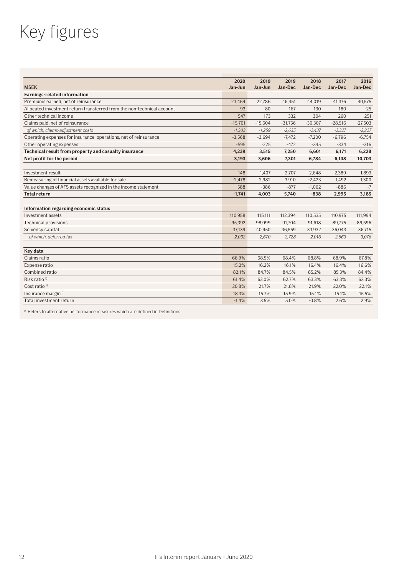# Key figures

|                                                                        | 2020      | 2019      | 2019      | 2018      | 2017      | 2016      |
|------------------------------------------------------------------------|-----------|-----------|-----------|-----------|-----------|-----------|
| <b>MSEK</b>                                                            | Jan-Jun   | Jan-Jun   | Jan-Dec   | Jan-Dec   | Jan-Dec   | Jan-Dec   |
| <b>Earnings-related information</b>                                    |           |           |           |           |           |           |
| Premiums earned, net of reinsurance                                    | 23.464    | 22.786    | 46.451    | 44.019    | 41.376    | 40.575    |
| Allocated investment return transferred from the non-technical account | 93        | 80        | 167       | 130       | 180       | $-25$     |
| Other technical income                                                 | 547       | 173       | 332       | 304       | 260       | 251       |
| Claims paid, net of reinsurance                                        | $-15,701$ | $-15,604$ | $-31,756$ | $-30,307$ | $-28,516$ | $-27,503$ |
| of which, claims-adjustment costs                                      | $-1,303$  | $-1,259$  | $-2,635$  | $-2,437$  | $-2,327$  | $-2,227$  |
| Operating expenses for insurance operations, net of reinsurance        | $-3,568$  | $-3,694$  | $-7.472$  | $-7,200$  | $-6,796$  | $-6,754$  |
| Other operating expenses                                               |           | $-225$    | $-472$    | $-345$    | $-334$    | $-316$    |
| Technical result from property and casualty insurance                  | 4,239     | 3,515     | 7,250     | 6,601     | 6,171     | 6,228     |
| Net profit for the period                                              | 3.193     | 3.606     | 7.301     | 6.784     | 6,148     | 10,703    |
|                                                                        |           |           |           |           |           |           |
| Investment result                                                      | 148       | 1.407     | 2.707     | 2.648     | 2.389     | 1.893     |
| Remeasuring of financial assets avaliable for sale                     |           | 2,982     | 3,910     | $-2,423$  | 1,492     | 1,300     |
| Value changes of AFS assets recognized in the income statement         | 588       | $-386$    | $-877$    | $-1,062$  | $-886$    | $-7$      |
| <b>Total return</b>                                                    | $-1,741$  | 4.003     | 5.740     | $-838$    | 2,995     | 3.185     |
|                                                                        |           |           |           |           |           |           |
| Information regarding economic status                                  |           |           |           |           |           |           |
| Investment assets                                                      | 110.958   | 115.111   | 112.394   | 110.535   | 110.975   | 111.994   |
| <b>Technical provisions</b>                                            | 95.392    | 98,099    | 91,704    | 91.618    | 89.775    | 89,596    |
| Solvency capital                                                       | 37,139    | 40,450    | 36,559    | 33,932    | 36,043    | 36,715    |
| of which, deferred tax                                                 | 2,032     | 2,670     | 2,728     | 2,016     | 2,563     | 3,076     |
|                                                                        |           |           |           |           |           |           |
| Key data                                                               |           |           |           |           |           |           |
| Claims ratio                                                           | 66.9%     | 68.5%     | 68.4%     | 68.8%     | 68.9%     | 67.8%     |
| Expense ratio                                                          | 15.2%     | 16.2%     | 16.1%     | 16.4%     | 16.4%     | 16.6%     |
| Combined ratio                                                         | 82.1%     | 84.7%     | 84.5%     | 85.2%     | 85.3%     | 84.4%     |
| Risk ratio <sup>1)</sup>                                               | 61.4%     | 63.0%     | 62.7%     | 63.3%     | 63.3%     | 62.3%     |
| Cost ratio <sup>1)</sup>                                               | 20.8%     | 21.7%     | 21.8%     | 21.9%     | 22.0%     | 22.1%     |
| Insurance margin <sup>1)</sup>                                         | 18.3%     | 15.7%     | 15.9%     | 15.1%     | 15.1%     | 15.5%     |
| Total investment return                                                | $-1.4%$   | 3.5%      | 5.0%      | $-0.8%$   | 2.6%      | 2.9%      |

<sup>1)</sup> Refers to alternative performance measures which are defined in Definitions.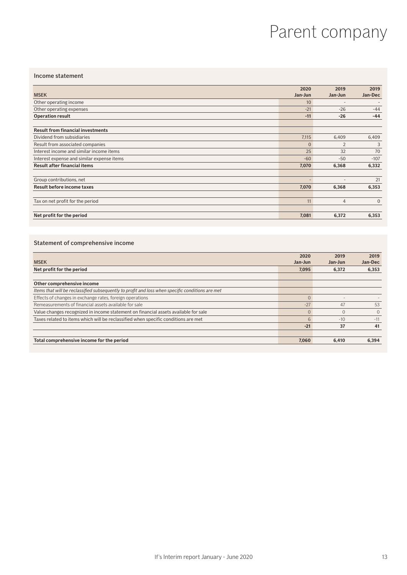### Parent company

#### Income statement

|                                            | 2020           | 2019                     | 2019           |
|--------------------------------------------|----------------|--------------------------|----------------|
| <b>MSEK</b>                                | Jan-Jun        | Jan-Jun                  | Jan-Dec        |
| Other operating income                     | 10             | $\overline{\phantom{0}}$ |                |
| Other operating expenses                   | $-21$          | $-26$                    | $-44$          |
| <b>Operation result</b>                    | $-11$          | $-26$                    | $-44$          |
| <b>Result from financial investments</b>   |                |                          |                |
| Dividend from subsidiaries                 | 7,115          | 6,409                    | 6,409          |
| Result from associated companies           | $\overline{0}$ | $\overline{2}$           | 3              |
| Interest income and similar income items   | 25             | 32                       | 70             |
| Interest expense and similar expense items | $-60$          | $-50$                    | $-107$         |
| Result after financial items               | 7,070          | 6,368                    | 6,332          |
| Group contributions, net                   |                | ٠                        | 21             |
| <b>Result before income taxes</b>          | 7,070          | 6,368                    | 6,353          |
| Tax on net profit for the period           | 11             | $\overline{4}$           | $\overline{0}$ |
| Net profit for the period                  | 7,081          | 6,372                    | 6,353          |

#### Statement of comprehensive income

|                                                                                                  | 2020    | 2019     | 2019         |
|--------------------------------------------------------------------------------------------------|---------|----------|--------------|
| <b>MSEK</b>                                                                                      | Jan-Jun | Jan-Jun  | Jan-Dec      |
| Net profit for the period                                                                        | 7.095   | 6.372    | 6,353        |
|                                                                                                  |         |          |              |
| Other comprehensive income                                                                       |         |          |              |
| Items that will be reclassified subsequently to profit and loss when specific conditions are met |         |          |              |
| Effects of changes in exchange rates, foreign operations                                         |         |          |              |
| Remeasurements of financial assets available for sale                                            | $-27$   | 47       | 53           |
| Value changes recognized in income statement on financial assets available for sale              |         | $\Omega$ | $\mathbf{0}$ |
| Taxes related to items which will be reclassified when specific conditions are met               | 6       | $-10$    | $-11$        |
|                                                                                                  | $-21$   | 37       | 41           |
|                                                                                                  |         |          |              |
| Total comprehensive income for the period                                                        | 7.060   | 6.410    | 6,394        |
|                                                                                                  |         |          |              |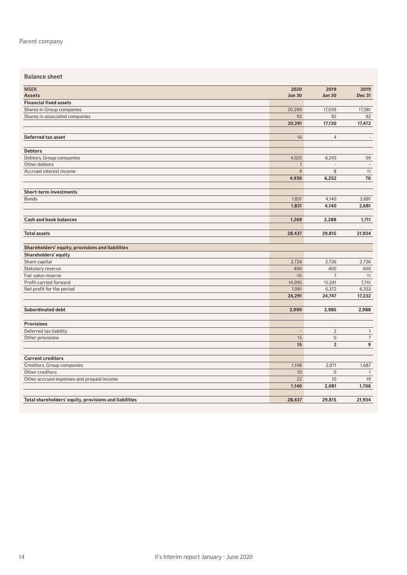#### Balance sheet

| <b>MSEK</b>                                            | 2020                     | 2019             | 2019           |
|--------------------------------------------------------|--------------------------|------------------|----------------|
| <b>Assets</b>                                          | <b>Jun 30</b>            | <b>Jun 30</b>    | <b>Dec 31</b>  |
| <b>Financial fixed assets</b>                          |                          |                  |                |
| Shares in Group companies                              | 20,299                   | 17,039           | 17,381         |
| Shares in associated companies                         | 92                       | 92               | 92             |
|                                                        | 20,391                   | 17,130           | 17,472         |
|                                                        |                          |                  |                |
| Deferred tax asset                                     | 16                       | $\overline{4}$   | $\sim$         |
| <b>Debtors</b>                                         |                          |                  |                |
| Debtors, Group companies                               | 4,925                    | 6,243            | 59             |
| Other debtors                                          | $\mathbf{1}$             | $\overline{a}$   | $\sim$         |
| Accrued interest income                                | $\overline{4}$           | 8                | 11             |
|                                                        | 4,930                    | 6,252            | 70             |
|                                                        |                          |                  |                |
| <b>Short-term investments</b>                          |                          |                  |                |
| <b>Bonds</b>                                           | 1,831                    | 4,140            | 2,681          |
|                                                        | 1,831                    | 4,140            | 2,681          |
| <b>Cash and bank balances</b>                          | 1,269                    | 2,288            | 1,711          |
|                                                        |                          |                  |                |
| <b>Total assets</b>                                    | 28,437                   | 29,815           | 21,934         |
|                                                        |                          |                  |                |
| Shareholders' equity, provisions and liabilities       |                          |                  |                |
| Shareholders' equity                                   |                          |                  |                |
| Share capital                                          | 2,726                    | 2,726            | 2,726          |
| Statutory reserve                                      | 400                      | 400              | 400            |
| Fair value reserve                                     | $-10$                    | $\overline{7}$   | 11             |
| Profit carried forward                                 | 14,095                   | 15,241           | 7,741          |
| Net profit for the period                              | 7,081                    | 6,372            | 6,353          |
|                                                        | 24,291                   | 24,747           | 17,232         |
| <b>Subordinated debt</b>                               | 2,990                    | 2,985            | 2,988          |
|                                                        |                          |                  |                |
| <b>Provisions</b>                                      |                          |                  |                |
| Deferred tax liability                                 | $\overline{\phantom{a}}$ | $\overline{2}$   | $\overline{1}$ |
| Other provisions                                       | 15                       | $\boldsymbol{0}$ | $\sqrt{7}$     |
|                                                        | 15                       | $\mathbf 2$      | 9              |
| <b>Current creditors</b>                               |                          |                  |                |
| Creditors, Group companies                             | 1,108                    | 2,071            | 1,687          |
| Other creditors                                        | $10$                     | $\boldsymbol{0}$ | $\overline{1}$ |
| Other accrued expenses and prepaid income              | 22                       | 10               | 19             |
|                                                        | 1,140                    | 2,081            | 1,706          |
|                                                        |                          |                  |                |
| Total shareholders' equity, provisions and liabilities | 28,437                   | 29,815           | 21,934         |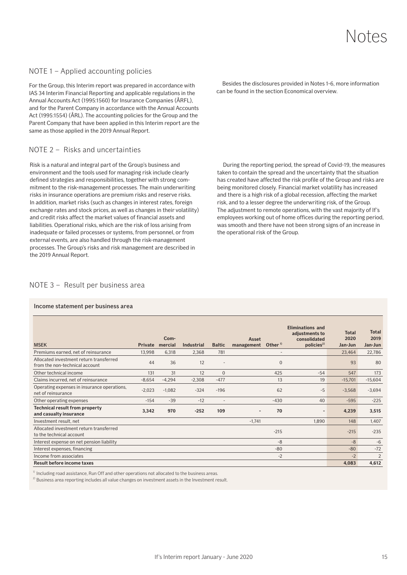### Notes

#### NOTE 1 – Applied accounting policies

For the Group, this Interim report was prepared in accordance with IAS 34 Interim Financial Reporting and applicable regulations in the Annual Accounts Act (1995:1560) for Insurance Companies (ÅRFL), and for the Parent Company in accordance with the Annual Accounts Act (1995:1554) (ÅRL). The accounting policies for the Group and the Parent Company that have been applied in this Interim report are the same as those applied in the 2019 Annual Report.

#### NOTE 2 – Risks and uncertainties

Risk is a natural and integral part of the Group's business and environment and the tools used for managing risk include clearly defined strategies and responsibilities, together with strong commitment to the risk-management processes. The main underwriting risks in insurance operations are premium risks and reserve risks. In addition, market risks (such as changes in interest rates, foreign exchange rates and stock prices, as well as changes in their volatility) and credit risks affect the market values of financial assets and liabilities. Operational risks, which are the risk of loss arising from inadequate or failed processes or systems, from personnel, or from external events, are also handled through the risk-management processes. The Group's risks and risk management are described in the 2019 Annual Report.

Besides the disclosures provided in Notes 1-6, more information can be found in the section Economical overview.

During the reporting period, the spread of Covid-19, the measures taken to contain the spread and the uncertainty that the situation has created have affected the risk profile of the Group and risks are being monitored closely. Financial market volatility has increased and there is a high risk of a global recession, affecting the market risk, and to a lesser degree the underwriting risk, of the Group. The adjustment to remote operations, with the vast majority of If's employees working out of home offices during the reporting period, was smooth and there have not been strong signs of an increase in the operational risk of the Group.

#### NOTE 3 – Result per business area

#### Income statement per business area

| <b>MSEK</b>                                                               | <b>Private</b> | Com-<br>mercial | Industrial | <b>Baltic</b>            | Asset<br>Other <sup>1)</sup><br>management | <b>Eliminations and</b><br>adjustments to<br>consolidated<br>policies <sup>2)</sup> | <b>Total</b><br>2020<br>Jan-Jun | <b>Total</b><br>2019<br>Jan-Jun |
|---------------------------------------------------------------------------|----------------|-----------------|------------|--------------------------|--------------------------------------------|-------------------------------------------------------------------------------------|---------------------------------|---------------------------------|
| Premiums earned, net of reinsurance                                       | 13,998         | 6,318           | 2,368      | 781                      |                                            | $\overline{\phantom{a}}$                                                            | 23,464                          | 22,786                          |
| Allocated investment return transferred<br>from the non-technical account | 44             | 36              | 12         | ٠                        |                                            | $\overline{0}$                                                                      | 93                              | 80                              |
| Other technical income                                                    | 131            | 31              | 12         | $\mathbf{0}$             | 425                                        | $-54$                                                                               | 547                             | 173                             |
| Claims incurred, net of reinsurance                                       | $-8,654$       | $-4,294$        | $-2,308$   | $-477$                   | 13                                         | 19                                                                                  | $-15,701$                       | $-15,604$                       |
| Operating expenses in insurance operations,<br>net of reinsurance         | $-2,023$       | $-1,082$        | $-324$     | $-196$                   | 62                                         | $-5$                                                                                | $-3,568$                        | $-3,694$                        |
| Other operating expenses                                                  | $-154$         | $-39$           | $-12$      | $\overline{\phantom{a}}$ | $-430$                                     | 40                                                                                  | $-595$                          | $-225$                          |
| Technical result from property<br>and casualty insurance                  | 3,342          | 970             | $-252$     | 109                      | 70<br>$\overline{\phantom{a}}$             |                                                                                     | 4,239                           | 3,515                           |
| Investment result, net                                                    |                |                 |            |                          | $-1,741$                                   | 1.890                                                                               | 148                             | 1,407                           |
| Allocated investment return transferred<br>to the technical account       |                |                 |            |                          | $-215$                                     |                                                                                     | $-215$                          | $-235$                          |
| Interest expense on net pension liability                                 |                |                 |            |                          | -8                                         |                                                                                     | $-8$                            | $-6$                            |
| Interest expenses, financing                                              |                |                 |            |                          | $-80$                                      |                                                                                     | $-80$                           | $-72$                           |
| Income from associates                                                    |                |                 |            |                          |                                            | $-2$                                                                                | $-2$                            | 2                               |
| <b>Result before income taxes</b>                                         |                |                 |            |                          |                                            |                                                                                     | 4,083                           | 4,612                           |

<sup>1)</sup> Including road assistance, Run Off and other operations not allocated to the business areas.

<sup>2)</sup> Business area reporting includes all value changes on investment assets in the Investment result.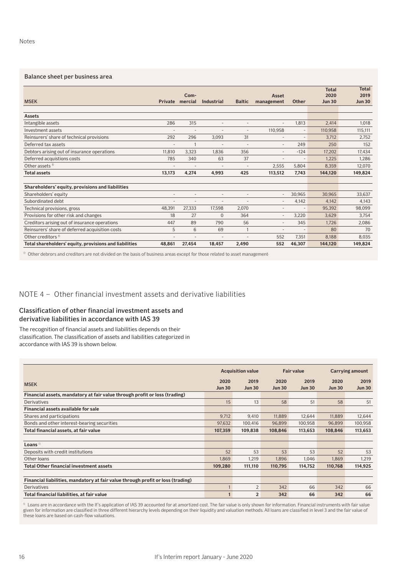#### Balance sheet per business area

| <b>MSEK</b>                                            | <b>Private</b>           | Com-<br>mercial          | Industrial               | <b>Baltic</b>            | Asset<br>management      | <b>Other</b>             | <b>Total</b><br>2020<br><b>Jun 30</b> | <b>Total</b><br>2019<br><b>Jun 30</b> |
|--------------------------------------------------------|--------------------------|--------------------------|--------------------------|--------------------------|--------------------------|--------------------------|---------------------------------------|---------------------------------------|
|                                                        |                          |                          |                          |                          |                          |                          |                                       |                                       |
| <b>Assets</b>                                          |                          |                          |                          |                          |                          |                          |                                       |                                       |
| Intangible assets                                      | 286                      | 315                      | $\overline{a}$           | $\overline{\phantom{a}}$ | $\overline{a}$           | 1.813                    | 2.414                                 | 1,018                                 |
| Investment assets                                      | ۰                        | $\overline{\phantom{a}}$ | $\overline{\phantom{a}}$ | $\overline{\phantom{a}}$ | 110,958                  | $\overline{\phantom{a}}$ | 110,958                               | 115,111                               |
| Reinsurers' share of technical provisions              | 292                      | 296                      | 3.093                    | 31                       | ٠                        | $\overline{\phantom{a}}$ | 3,712                                 | 2,752                                 |
| Deferred tax assets                                    | $\overline{a}$           |                          | $\overline{a}$           |                          | $\overline{\phantom{a}}$ | 249                      | 250                                   | 152                                   |
| Debtors arising out of insurance operations            | 11,810                   | 3.323                    | 1.836                    | 356                      | $\overline{\phantom{a}}$ | $-124$                   | 17.202                                | 17,434                                |
| Deferred acquistions costs                             | 785                      | 340                      | 63                       | 37                       | $\overline{a}$           | $\overline{a}$           | 1.225                                 | 1.286                                 |
| Other assets <sup>1)</sup>                             | ٠                        | ٠                        | $\overline{\phantom{a}}$ |                          | 2,555                    | 5.804                    | 8,359                                 | 12,070                                |
| <b>Total assets</b>                                    | 13,173                   | 4.274                    | 4.993                    | 425                      | 113.512                  | 7.743                    | 144.120                               | 149,824                               |
|                                                        |                          |                          |                          |                          |                          |                          |                                       |                                       |
| Shareholders' equity, provisions and liabilities       |                          |                          |                          |                          |                          |                          |                                       |                                       |
| Shareholders' equity                                   | ۰                        |                          | ٠                        |                          | $\overline{a}$           | 30,965                   | 30.965                                | 33.637                                |
| Subordinated debt                                      | $\overline{\phantom{a}}$ | ٠                        | $\overline{\phantom{a}}$ | $\overline{\phantom{a}}$ | $\overline{\phantom{a}}$ | 4,142                    | 4,142                                 | 4,143                                 |
| Technical provisions, gross                            | 48,391                   | 27,333                   | 17.598                   | 2,070                    | $\overline{a}$           | $\overline{\phantom{a}}$ | 95,392                                | 98,099                                |
| Provisions for other risk and changes                  | 18                       | 27                       | $\overline{0}$           | 364                      | $\overline{a}$           | 3,220                    | 3.629                                 | 3,754                                 |
| Creditors arising out of insurance operations          | 447                      | 89                       | 790                      | 56                       | $\overline{a}$           | 345                      | 1.726                                 | 2,086                                 |
| Reinsurers' share of deferred acquisition costs        | 5                        | 6                        | 69                       | $\overline{1}$           | $\overline{\phantom{a}}$ | $\overline{a}$           | 80                                    | 70                                    |
| Other creditors <sup>1)</sup>                          | ٠                        | ٠                        | $\overline{\phantom{a}}$ |                          | 552                      | 7,351                    | 8,188                                 | 8,035                                 |
| Total shareholders' equity, provisions and liabilities | 48.861                   | 27,454                   | 18.457                   | 2.490                    | 552                      | 46.307                   | 144.120                               | 149.824                               |

<sup>1)</sup> Other debrors and creditors are not divided on the basis of business areas except for those related to asset management-

### NOTE 4 – Other financial investment assets and derivative liabilities

#### Classification of other financial investment assets and derivative liabilities in accordance with IAS 39

The recognition of financial assets and liabilities depends on their classification. The classification of assets and liabilities categorized in accordance with IAS 39 is shown below.

|                                                                                 | <b>Acquisition value</b> |                       |                       | <b>Fair value</b>     | <b>Carrying amount</b> |                       |
|---------------------------------------------------------------------------------|--------------------------|-----------------------|-----------------------|-----------------------|------------------------|-----------------------|
| <b>MSEK</b>                                                                     | 2020<br><b>Jun 30</b>    | 2019<br><b>Jun 30</b> | 2020<br><b>Jun 30</b> | 2019<br><b>Jun 30</b> | 2020<br><b>Jun 30</b>  | 2019<br><b>Jun 30</b> |
| Financial assets, mandatory at fair value through profit or loss (trading)      |                          |                       |                       |                       |                        |                       |
| Derivatives                                                                     | 15                       | 13                    | 58                    | 51                    | 58                     | 51                    |
| Financial assets available for sale                                             |                          |                       |                       |                       |                        |                       |
| Shares and participations                                                       | 9,712                    | 9,410                 | 11,889                | 12,644                | 11,889                 | 12,644                |
| Bonds and other interest-bearing securities                                     | 97,632                   | 100,416               | 96,899                | 100,958               | 96,899                 | 100,958               |
| Total financial assets, at fair value                                           | 107,359                  | 109,838               | 108,846               | 113,653               | 108,846                | 113,653               |
|                                                                                 |                          |                       |                       |                       |                        |                       |
| Loans $\frac{1}{2}$                                                             |                          |                       |                       |                       |                        |                       |
| Deposits with credit institutions                                               | 52                       | 53                    | 53                    | 53                    | 52                     | 53                    |
| Other loans                                                                     | 1,869                    | 1,219                 | 1,896                 | 1,046                 | 1,869                  | 1,219                 |
| <b>Total Other financial investment assets</b>                                  | 109,280                  | 111,110               | 110,795               | 114,752               | 110,768                | 114,925               |
|                                                                                 |                          |                       |                       |                       |                        |                       |
| Financial liabilities, mandatory at fair value through profit or loss (trading) |                          |                       |                       |                       |                        |                       |
| Derivatives                                                                     |                          | 2                     | 342                   | 66                    | 342                    | 66                    |
| Total financial liabilities, at fair value                                      |                          | $\overline{2}$        | 342                   | 66                    | 342                    | 66                    |

 $^{\rm 0}$  Loans are in accordance with the If's application of IAS 39 accounted for at amortized cost. The fair value is only shown for information. Financial instruments with fair value given for information are classified in three different hierarchy levels depending on their liquidity and valuation methods. All loans are classified in level 3 and the fair value of these loans are based on cash-flow valuations.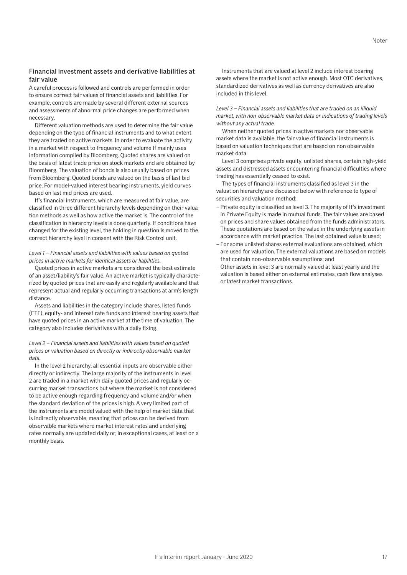A careful process is followed and controls are performed in order to ensure correct fair values of financial assets and liabilities. For example, controls are made by several different external sources and assessments of abnormal price changes are performed when necessary.

Different valuation methods are used to determine the fair value depending on the type of financial instruments and to what extent they are traded on active markets. In order to evaluate the activity in a market with respect to frequency and volume If mainly uses information compiled by Bloomberg. Quoted shares are valued on the basis of latest trade price on stock markets and are obtained by Bloomberg. The valuation of bonds is also usually based on prices from Bloomberg. Quoted bonds are valued on the basis of last bid price. For model-valued interest bearing instruments, yield curves based on last mid prices are used.

If's financial instruments, which are measured at fair value, are classified in three different hierarchy levels depending on their valuation methods as well as how active the market is. The control of the classification in hierarchy levels is done quarterly. If conditions have changed for the existing level, the holding in question is moved to the correct hierarchy level in consent with the Risk Control unit.

#### *Level 1 – Financial assets and liabilities with values based on quoted prices in active markets for identical assets or liabilities.*

Quoted prices in active markets are considered the best estimate of an asset/liability's fair value. An active market is typically characterized by quoted prices that are easily and regularly available and that represent actual and regularly occurring transactions at arm's length distance.

Assets and liabilities in the category include shares, listed funds (ETF), equity- and interest rate funds and interest bearing assets that have quoted prices in an active market at the time of valuation. The category also includes derivatives with a daily fixing.

#### *Level 2 – Financial assets and liabilities with values based on quoted prices or valuation based on directly or indirectly observable market data.*

In the level 2 hierarchy, all essential inputs are observable either directly or indirectly. The large majority of the instruments in level 2 are traded in a market with daily quoted prices and regularly occurring market transactions but where the market is not considered to be active enough regarding frequency and volume and/or when the standard deviation of the prices is high. A very limited part of the instruments are model valued with the help of market data that is indirectly observable, meaning that prices can be derived from observable markets where market interest rates and underlying rates normally are updated daily or, in exceptional cases, at least on a monthly basis.

Instruments that are valued at level 2 include interest bearing assets where the market is not active enough. Most OTC derivatives, standardized derivatives as well as currency derivatives are also included in this level.

#### *Level 3 – Financial assets and liabilities that are traded on an illiquid market, with non-observable market data or indications of trading levels without any actual trade.*

When neither quoted prices in active markets nor observable market data is available, the fair value of financial instruments is based on valuation techniques that are based on non observable market data.

Level 3 comprises private equity, unlisted shares, certain high-yield assets and distressed assets encountering financial difficulties where trading has essentially ceased to exist.

The types of financial instruments classified as level 3 in the valuation hierarchy are discussed below with reference to type of securities and valuation method:

- Private equity is classified as level 3. The majority of If's investment in Private Equity is made in mutual funds. The fair values are based on prices and share values obtained from the funds administrators. These quotations are based on the value in the underlying assets in accordance with market practice. The last obtained value is used;
- For some unlisted shares external evaluations are obtained, which are used for valuation. The external valuations are based on models that contain non-observable assumptions; and
- –Other assets in level 3 are normally valued at least yearly and the valuation is based either on external estimates, cash flow analyses or latest market transactions.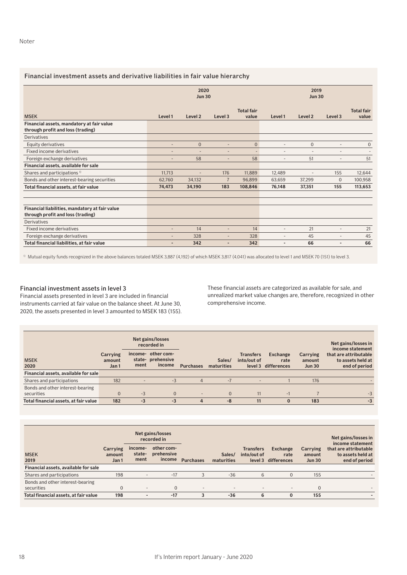#### Financial investment assets and derivative liabilities in fair value hierarchy

|                                                                                | 2020<br><b>Jun 30</b>    |                          |                | 2019<br><b>Jun 30</b>      |                          |                          |                          |                            |
|--------------------------------------------------------------------------------|--------------------------|--------------------------|----------------|----------------------------|--------------------------|--------------------------|--------------------------|----------------------------|
| <b>MSEK</b>                                                                    | Level 1                  | Level <sub>2</sub>       | Level 3        | <b>Total fair</b><br>value | Level 1                  | Level <sub>2</sub>       | Level 3                  | <b>Total fair</b><br>value |
| Financial assets, mandatory at fair value<br>through profit and loss (trading) |                          |                          |                |                            |                          |                          |                          |                            |
| <b>Derivatives</b>                                                             |                          |                          |                |                            |                          |                          |                          |                            |
| Equity derivatives                                                             |                          | $\overline{0}$           | $\overline{a}$ | $\Omega$                   | ٠                        | 0                        | $\overline{\phantom{a}}$ | $\Omega$                   |
| Fixed income derivatives                                                       |                          |                          |                |                            |                          | ٠                        |                          |                            |
| Foreign exchange derivatives                                                   |                          | 58                       | ٠              | 58                         | $\overline{\phantom{a}}$ | 51                       | $\overline{a}$           | 51                         |
| Financial assets, available for sale                                           |                          |                          |                |                            |                          |                          |                          |                            |
| Shares and participations <sup>1)</sup>                                        | 11.713                   | $\overline{\phantom{a}}$ | 176            | 11.889                     | 12.489                   | $\overline{\phantom{a}}$ | 155                      | 12,644                     |
| Bonds and other interest-bearing securities                                    | 62,760                   | 34,132                   | $\overline{7}$ | 96.899                     | 63.659                   | 37,299                   | $\mathbf{0}$             | 100,958                    |
| Total financial assets, at fair value                                          | 74,473                   | 34,190                   | 183            | 108.846                    | 76,148                   | 37,351                   | 155                      | 113,653                    |
|                                                                                |                          |                          |                |                            |                          |                          |                          |                            |
|                                                                                |                          |                          |                |                            |                          |                          |                          |                            |
| Financial liabilities, mandatory at fair value                                 |                          |                          |                |                            |                          |                          |                          |                            |
| through profit and loss (trading)                                              |                          |                          |                |                            |                          |                          |                          |                            |
| Derivatives                                                                    |                          |                          |                |                            |                          |                          |                          |                            |
| Fixed income derivatives                                                       | $\overline{\phantom{a}}$ | 14                       | $\overline{a}$ | 14                         | ٠                        | 21                       | ٠                        | 21                         |
| Foreign exchange derivatives                                                   |                          | 328                      | $\overline{a}$ | 328                        | ٠                        | 45                       |                          | 45                         |
| Total financial liabilities, at fair value                                     |                          | 342                      | ٠              | 342                        |                          | 66                       |                          | 66                         |

<sup>1)</sup> Mutual equity funds recognized in the above balances totaled MSEK 3,887 (4,192) of which MSEK 3,817 (4,041) was allocated to level 1 and MSEK 70 (151) to level 3.

#### Financial investment assets in level 3

Financial assets presented in level 3 are included in financial instruments carried at fair value on the balance sheet. At June 30, 2020, the assets presented in level 3 amounted to MSEK 183 (155). These financial assets are categorized as available for sale, and unrealized market value changes are, therefore, recognized in other comprehensive income.

|                                                |                             | Net gains/losses<br>recorded in |                                                   |                  |                      |                                 |                                         |                                     |                                                             |  | Net gains/losses in<br>income statement |
|------------------------------------------------|-----------------------------|---------------------------------|---------------------------------------------------|------------------|----------------------|---------------------------------|-----------------------------------------|-------------------------------------|-------------------------------------------------------------|--|-----------------------------------------|
| <b>MSEK</b><br>2020                            | Carrying<br>amount<br>Jan 1 | ment                            | income- other com-<br>state- prehensive<br>income | <b>Purchases</b> | Sales/<br>maturities | <b>Transfers</b><br>into/out of | Exchange<br>rate<br>level 3 differences | Carrying<br>amount<br><b>Jun 30</b> | that are attributable<br>to assets held at<br>end of period |  |                                         |
| Financial assets, available for sale           |                             |                                 |                                                   |                  |                      |                                 |                                         |                                     |                                                             |  |                                         |
| Shares and participations                      | 182                         |                                 | $-3$                                              | 4                | $-7$                 | $\overline{\phantom{0}}$        |                                         | 176                                 |                                                             |  |                                         |
| Bonds and other interest-bearing<br>securities | 0                           | $-3$                            | $\overline{0}$                                    |                  | $\Omega$             | 11                              | $-1$                                    |                                     | $-3$                                                        |  |                                         |
| Total financial assets, at fair value          | 182                         | $-3$                            | $-3$                                              | 4                | -8                   | 11                              | $\bf{0}$                                | 183                                 | $-3$                                                        |  |                                         |

|                                                | Net gains/losses<br>recorded in |                           |                                    |                          |                      |                                 |                                         | Net gains/losses in<br>income statement |                                                             |
|------------------------------------------------|---------------------------------|---------------------------|------------------------------------|--------------------------|----------------------|---------------------------------|-----------------------------------------|-----------------------------------------|-------------------------------------------------------------|
| <b>MSEK</b><br>2019                            | Carrying<br>amount<br>Jan 1     | income-<br>state-<br>ment | other com-<br>prehensive<br>income | <b>Purchases</b>         | Sales/<br>maturities | <b>Transfers</b><br>into/out of | Exchange<br>rate<br>level 3 differences | Carrying<br>amount<br><b>Jun 30</b>     | that are attributable<br>to assets held at<br>end of period |
| Financial assets, available for sale           |                                 |                           |                                    |                          |                      |                                 |                                         |                                         |                                                             |
| Shares and participations                      | 198                             | $\overline{\phantom{a}}$  | $-17$                              | 3                        | $-36$                | 6                               | $\Omega$                                | 155                                     |                                                             |
| Bonds and other interest-bearing<br>securities | 0                               | $\overline{\phantom{a}}$  | $\mathbf{0}$                       | $\overline{\phantom{a}}$ | -                    | $\overline{\phantom{a}}$        | $\overline{\phantom{a}}$                |                                         |                                                             |
| Total financial assets, at fair value          | 198                             | $\overline{\phantom{0}}$  | $-17$                              | 3                        | $-36$                | 6                               | $\bf{0}$                                | 155                                     |                                                             |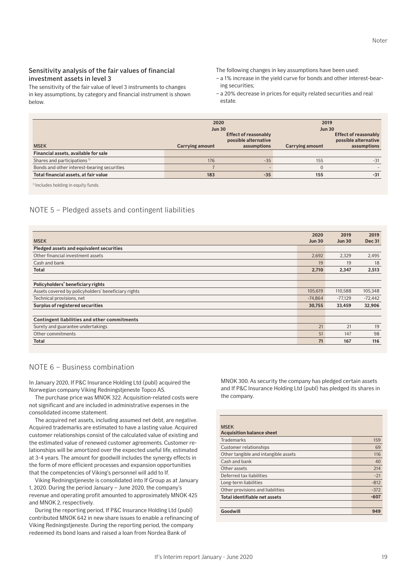The sensitivity of the fair value of level 3 instruments to changes in key assumptions, by category and financial instrument is shown below.

The following changes in key assumptions have been used:

- a 1% increase in the yield curve for bonds and other interest-bearing securities;
- a 20% decrease in prices for equity related securities and real estate.

|                                             | 2020<br><b>Jun 30</b> |                                                                    | 2019<br><b>Jun 30</b> |                                                             |
|---------------------------------------------|-----------------------|--------------------------------------------------------------------|-----------------------|-------------------------------------------------------------|
| <b>MSEK</b>                                 | Carrying amount       | <b>Effect of reasonably</b><br>possible alternative<br>assumptions | Carrying amount       | Effect of reasonably<br>possible alternative<br>assumptions |
| Financial assets, available for sale        |                       |                                                                    |                       |                                                             |
| Shares and participations <sup>1)</sup>     | 176                   | $-35$                                                              | 155                   | $-31$                                                       |
| Bonds and other interest-bearing securities |                       |                                                                    |                       |                                                             |
| Total financial assets, at fair value       | 183                   | $-35$                                                              | 155                   | $-31$                                                       |

<sup>1)</sup> Includes holding in equity funds.

#### NOTE 5 – Pledged assets and contingent liabilities

|                                                     | 2020          | 2019          | 2019          |
|-----------------------------------------------------|---------------|---------------|---------------|
| <b>MSEK</b>                                         | <b>Jun 30</b> | <b>Jun 30</b> | <b>Dec 31</b> |
| Pledged assets and equivalent securities            |               |               |               |
| Other financial investment assets                   | 2,692         | 2,329         | 2,495         |
| Cash and bank                                       | 19            | 19            | 18            |
| <b>Total</b>                                        | 2,710         | 2,347         | 2,513         |
|                                                     |               |               |               |
| Policyholders' beneficiary rights                   |               |               |               |
| Assets covered by policyholders' beneficiary rights | 105,619       | 110,588       | 105,348       |
| Technical provisions, net                           | $-74.864$     | $-77.129$     | $-72,442$     |
| Surplus of registered securities                    | 30,755        | 33,459        | 32,906        |
|                                                     |               |               |               |
| <b>Contingent liabilities and other commitments</b> |               |               |               |
| Surety and guarantee undertakings                   | 21            | 21            | 19            |
| Other commitments                                   | 51            | 147           | 98            |
| <b>Total</b>                                        | 71            | 167           | 116           |

#### NOTE 6 – Business combination

In January 2020, If P&C Insurance Holding Ltd (publ) acquired the Norwegian company Viking Redningstjeneste Topco AS.

The purchase price was MNOK 322. Acquisition-related costs were not significant and are included in administrative expenses in the consolidated income statement.

The acquired net assets, including assumed net debt, are negative. Acquired trademarks are estimated to have a lasting value. Acquired customer relationships consist of the calculated value of existing and the estimated value of renewed customer agreements. Customer relationships will be amortized over the expected useful life, estimated at 3-4 years. The amount for goodwill includes the synergy effects in the form of more efficient processes and expansion opportunities that the competencies of Viking's personnel will add to If.

Viking Redningstjeneste is consolidated into If Group as at January 1, 2020. During the period January – June 2020, the company's revenue and operating profit amounted to approximately MNOK 425 and MNOK 2, respectively.

During the reporting period, If P&C Insurance Holding Ltd (publ) contributed MNOK 642 in new share issues to enable a refinancing of Viking Redningstjeneste. During the reporting period, the company redeemed its bond loans and raised a loan from Nordea Bank of

MNOK 300. As security the company has pledged certain assets and If P&C Insurance Holding Ltd (publ) has pledged its shares in the company.

| <b>MSFK</b><br><b>Acquisition balance sheet</b> |        |
|-------------------------------------------------|--------|
| <b>Trademarks</b>                               | 159    |
| Customer relationships                          | 69     |
| Other tangible and intangible assets            | 116    |
| Cash and bank                                   | 40     |
| Other assets                                    | 214    |
| Deferred tax liabilities                        | $-21$  |
| Long-term liabilities                           | $-812$ |
| Other provisions and liabilities                | $-372$ |
| Total identifiable net assets                   | $-607$ |
|                                                 |        |
| Goodwill                                        | 949    |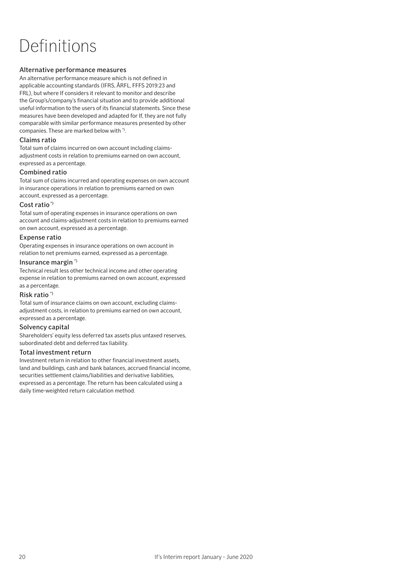# Definitions

#### Alternative performance measures

An alternative performance measure which is not defined in applicable accounting standards (IFRS, ÅRFL, FFFS 2019:23 and FRL), but where If considers it relevant to monitor and describe the Group's/company's financial situation and to provide additional useful information to the users of its financial statements. Since these measures have been developed and adapted for If, they are not fully comparable with similar performance measures presented by other companies. These are marked below with \*).

#### Claims ratio

Total sum of claims incurred on own account including claimsadjustment costs in relation to premiums earned on own account, expressed as a percentage.

#### Combined ratio

Total sum of claims incurred and operating expenses on own account in insurance operations in relation to premiums earned on own account, expressed as a percentage.

#### Cost ratio<sup>\*</sup>

Total sum of operating expenses in insurance operations on own account and claims-adjustment costs in relation to premiums earned on own account, expressed as a percentage.

#### Expense ratio

Operating expenses in insurance operations on own account in relation to net premiums earned, expressed as a percentage.

#### Insurance margin \*)

Technical result less other technical income and other operating expense in relation to premiums earned on own account, expressed as a percentage.

#### Risk ratio \*)

Total sum of insurance claims on own account, excluding claimsadjustment costs, in relation to premiums earned on own account, expressed as a percentage.

#### Solvency capital

Shareholders' equity less deferred tax assets plus untaxed reserves, subordinated debt and deferred tax liability.

#### Total investment return

Investment return in relation to other financial investment assets, land and buildings, cash and bank balances, accrued financial income, securities settlement claims/liabilities and derivative liabilities, expressed as a percentage. The return has been calculated using a daily time-weighted return calculation method.